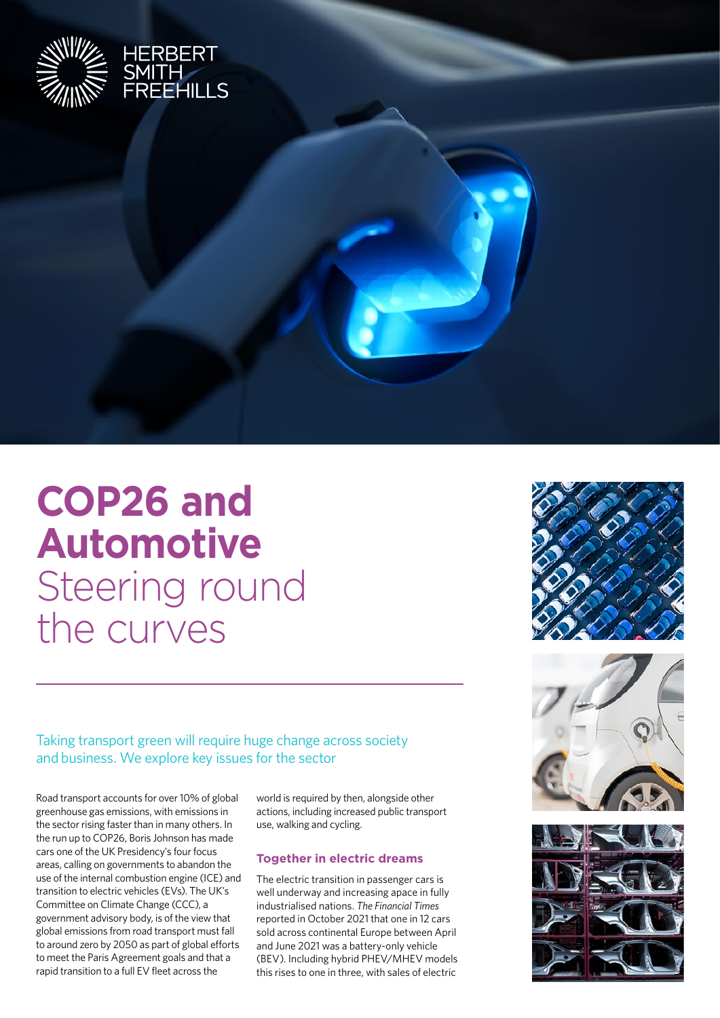

# **COP26 and Automotive**

Steering round the curves

Taking transport green will require huge change across society and business. We explore key issues for the sector

Road transport accounts for over 10% of global greenhouse gas emissions, with emissions in the sector rising faster than in many others. In the run up to COP26, Boris Johnson has made cars one of the UK Presidency's four focus areas, calling on governments to abandon the use of the internal combustion engine (ICE) and transition to electric vehicles (EVs). The UK's Committee on Climate Change (CCC), a government advisory body, is of the view that global emissions from road transport must fall to around zero by 2050 as part of global efforts to meet the Paris Agreement goals and that a rapid transition to a full EV fleet across the

world is required by then, alongside other actions, including increased public transport use, walking and cycling.

## **Together in electric dreams**

The electric transition in passenger cars is well underway and increasing apace in fully industrialised nations. *The Financial Times* reported in October 2021 that one in 12 cars sold across continental Europe between April and June 2021 was a battery-only vehicle (BEV). Including hybrid PHEV/MHEV models this rises to one in three, with sales of electric





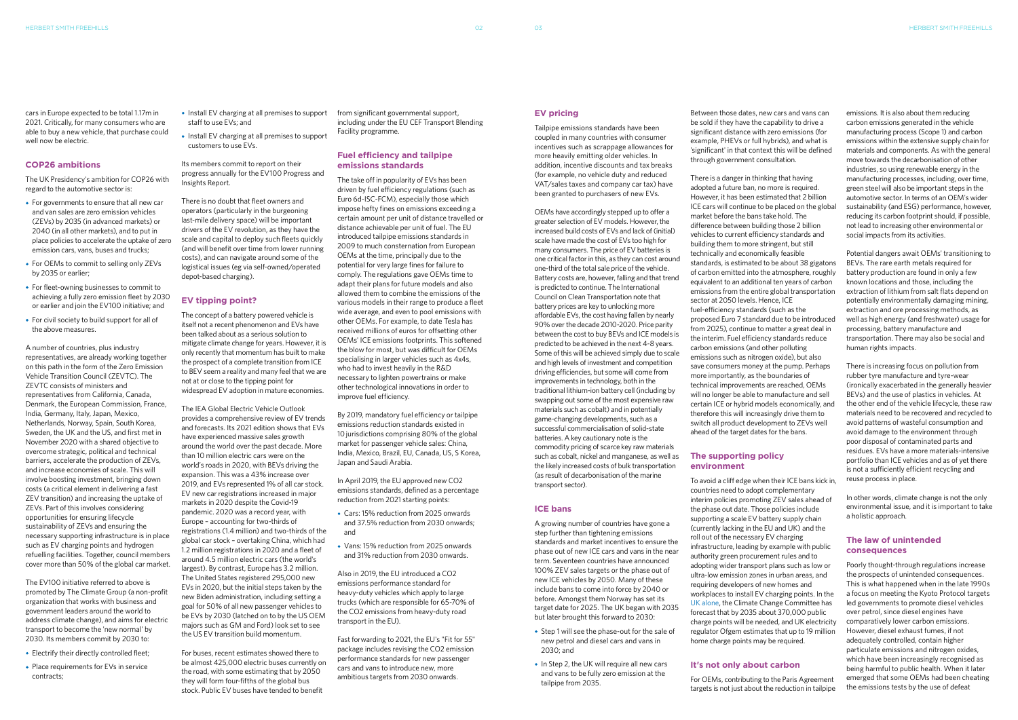#### **EV pricing**

Tailpipe emissions standards have been coupled in many countries with consumer incentives such as scrappage allowances for more heavily emitting older vehicles. In addition, incentive discounts and tax breaks (for example, no vehicle duty and reduced VAT/sales taxes and company car tax) have been granted to purchasers of new EVs.

OEMs have accordingly stepped up to offer a greater selection of EV models. However, the increased build costs of EVs and lack of (initial) scale have made the cost of EVs too high for many consumers. The price of EV batteries is one critical factor in this, as they can cost around one-third of the total sale price of the vehicle. Battery costs are, however, falling and that trend is predicted to continue. The International Council on Clean Transportation note that battery prices are key to unlocking more affordable EVs, the cost having fallen by nearly 90% over the decade 2010-2020. Price parity between the cost to buy BEVs and ICE models is predicted to be achieved in the next 4-8 years. Some of this will be achieved simply due to scale and high levels of investment and competition driving efficiencies, but some will come from improvements in technology, both in the traditional lithium-ion battery cell (including by swapping out some of the most expensive raw materials such as cobalt) and in potentially game-changing developments, such as a successful commercialisation of solid-state batteries. A key cautionary note is the commodity pricing of scarce key raw materials such as cobalt, nickel and manganese, as well as the likely increased costs of bulk transportation (as result of decarbonisation of the marine transport sector).

## **ICE bans**

A growing number of countries have gone a step further than tightening emissions standards and market incentives to ensure the phase out of new ICE cars and vans in the near term. Seventeen countries have announced 100% ZEV sales targets or the phase out of new ICE vehicles by 2050. Many of these include bans to come into force by 2040 or before. Amongst them Norway has set its target date for 2025. The UK began with 2035 but later brought this forward to 2030:

- **•**•Step 1 will see the phase-out for the sale of new petrol and diesel cars and vans in 2030; and
- In Step 2, the UK will require all new cars and vans to be fully zero emission at the tailpipe from 2035.

Between those dates, new cars and vans can be sold if they have the capability to drive a significant distance with zero emissions (for example, PHEVs or full hybrids), and what is 'significant' in that context this will be defined through government consultation.

There is a danger in thinking that having adopted a future ban, no more is required. However, it has been estimated that 2 billion ICE cars will continue to be placed on the global market before the bans take hold. The difference between building those 2 billion vehicles to current efficiency standards and building them to more stringent, but still technically and economically feasible standards, is estimated to be about 38 gigatons of carbon emitted into the atmosphere, roughly equivalent to an additional ten years of carbon emissions from the entire global transportation sector at 2050 levels. Hence, ICE fuel-efficiency standards (such as the proposed Euro 7 standard due to be introduced from 2025), continue to matter a great deal in the interim. Fuel efficiency standards reduce carbon emissions (and other polluting emissions such as nitrogen oxide), but also save consumers money at the pump. Perhaps more importantly, as the boundaries of technical improvements are reached, OEMs will no longer be able to manufacture and sell certain ICE or hybrid models economically, and therefore this will increasingly drive them to switch all product development to ZEVs well ahead of the target dates for the bans.

#### **The supporting policy environment**

To avoid a cliff edge when their ICE bans kick in, countries need to adopt complementary interim policies promoting ZEV sales ahead of the phase out date. Those policies include supporting a scale EV battery supply chain (currently lacking in the EU and UK) and the roll out of the necessary EV charging infrastructure, leading by example with public authority green procurement rules and to adopting wider transport plans such as low or ultra-low emission zones in urban areas, and requiring developers of new homes and workplaces to install EV charging points. In the [UK alone](https://hsfnotes.com/energy/2021/09/08/charging-forward-ofgems-drive-to-electrify-transport/), the Climate Change Committee has forecast that by 2035 about 370,000 public charge points will be needed, and UK electricity regulator Ofgem estimates that up to 19 million home charge points may be required.

## **It's not only about carbon**

For OEMs, contributing to the Paris Agreement

targets is not just about the reduction in tailpipe

emissions. It is also about them reducing carbon emissions generated in the vehicle manufacturing process (Scope 1) and carbon emissions within the extensive supply chain for materials and components. As with the general move towards the decarbonisation of other industries, so using renewable energy in the manufacturing processes, including, over time, green steel will also be important steps in the automotive sector. In terms of an OEM's wider sustainability (and ESG) performance, however, reducing its carbon footprint should, if possible, not lead to increasing other environmental or social impacts from its activities.

Potential dangers await OEMs' transitioning to BEVs. The rare earth metals required for battery production are found in only a few known locations and those, including the extraction of lithium from salt flats depend on potentially environmentally damaging mining, extraction and ore processing methods, as well as high energy (and freshwater) usage for processing, battery manufacture and transportation. There may also be social and human rights impacts.

There is increasing focus on pollution from rubber tyre manufacture and tyre-wear (ironically exacerbated in the generally heavier BEVs) and the use of plastics in vehicles. At the other end of the vehicle lifecycle, these raw materials need to be recovered and recycled to avoid patterns of wasteful consumption and avoid damage to the environment through poor disposal of contaminated parts and residues. EVs have a more materials-intensive portfolio than ICE vehicles and as of yet there is not a sufficiently efficient recycling and reuse process in place.

In other words, climate change is not the only environmental issue, and it is important to take a holistic approach.

## **The law of unintended consequences**

Poorly thought-through regulations increase the prospects of unintended consequences. This is what happened when in the late 1990s a focus on meeting the Kyoto Protocol targets led governments to promote diesel vehicles over petrol, since diesel engines have comparatively lower carbon emissions. However, diesel exhaust fumes, if not adequately controlled, contain higher particulate emissions and nitrogen oxides, which have been increasingly recognised as being harmful to public health. When it later emerged that some OEMs had been cheating the emissions tests by the use of defeat

cars in Europe expected to be total 1.17m in 2021. Critically, for many consumers who are able to buy a new vehicle, that purchase could well now be electric.

### **COP26 ambitions**

The UK Presidency's ambition for COP26 with regard to the automotive sector is:

- **•**•For governments to ensure that all new car and van sales are zero emission vehicles (ZEVs) by 2035 (in advanced markets) or 2040 (in all other markets), and to put in place policies to accelerate the uptake of zero emission cars, vans, buses and trucks;
- **•**•For OEMs to commit to selling only ZEVs by 2035 or earlier;
- **•**•For fleet-owning businesses to commit to achieving a fully zero emission fleet by 2030 or earlier and join the EV100 initiative; and
- **•**•For civil society to build support for all of the above measures.

A number of countries, plus industry representatives, are already working together on this path in the form of the Zero Emission Vehicle Transition Council (ZEVTC). The ZEVTC consists of ministers and representatives from California, Canada, Denmark, the European Commission, France, India, Germany, Italy, Japan, Mexico, Netherlands, Norway, Spain, South Korea, Sweden, the UK and the US, and first met in November 2020 with a shared objective to overcome strategic, political and technical barriers, accelerate the production of ZEVs, and increase economies of scale. This will involve boosting investment, bringing down costs (a critical element in delivering a fast ZEV transition) and increasing the uptake of ZEVs. Part of this involves considering opportunities for ensuring lifecycle sustainability of ZEVs and ensuring the necessary supporting infrastructure is in place such as EV charging points and hydrogen refuelling facilities. Together, council members cover more than 50% of the global car market.

The EV100 initiative referred to above is promoted by The Climate Group (a non-profit organization that works with business and government leaders around the world to address climate change), and aims for electric transport to become the 'new normal' by 2030. Its members commit by 2030 to:

- **•**•Electrify their directly controlled fleet;
- **•**•Place requirements for EVs in service contracts;
- **•**•Install EV charging at all premises to support staff to use EVs; and
- **•**•Install EV charging at all premises to support customers to use EVs.

Its members commit to report on their progress annually for the EV100 Progress and Insights Report.

There is no doubt that fleet owners and operators (particularly in the burgeoning last-mile delivery space) will be important drivers of the EV revolution, as they have the scale and capital to deploy such fleets quickly (and will benefit over time from lower running costs), and can navigate around some of the logistical issues (eg via self-owned/operated depot-based charging).

### **EV tipping point?**

The concept of a battery powered vehicle is itself not a recent phenomenon and EVs have been talked about as a serious solution to mitigate climate change for years. However, it is only recently that momentum has built to make the prospect of a complete transition from ICE to BEV seem a reality and many feel that we are not at or close to the tipping point for widespread EV adoption in mature economies.

The IEA Global Electric Vehicle Outlook provides a comprehensive review of EV trends and forecasts. Its 2021 edition shows that EVs have experienced massive sales growth around the world over the past decade. More than 10 million electric cars were on the world's roads in 2020, with BEVs driving the expansion. This was a 43% increase over 2019, and EVs represented 1% of all car stock. EV new car registrations increased in major markets in 2020 despite the Covid-19 pandemic. 2020 was a record year, with Europe – accounting for two-thirds of registrations (1.4 million) and two-thirds of the global car stock – overtaking China, which had 1.2 million registrations in 2020 and a fleet of around 4.5 million electric cars (the world's largest). By contrast, Europe has 3.2 million. The United States registered 295,000 new EVs in 2020, but the initial steps taken by the new Biden administration, including setting a goal for 50% of all new passenger vehicles to be EVs by 2030 (latched on to by the US OEM majors such as GM and Ford) look set to see the US EV transition build momentum.

For buses, recent estimates showed there to be almost 425,000 electric buses currently on the road, with some estimating that by 2050 they will form four-fifths of the global bus stock. Public EV buses have tended to benefit

from significant governmental support, including under the EU CEF Transport Blending Facility programme.

#### **Fuel efficiency and tailpipe emissions standards**

The take off in popularity of EVs has been driven by fuel efficiency regulations (such as Euro 6d-ISC-FCM), especially those which impose hefty fines on emissions exceeding a certain amount per unit of distance travelled or distance achievable per unit of fuel. The EU introduced tailpipe emissions standards in 2009 to much consternation from European OEMs at the time, principally due to the potential for very large fines for failure to comply. The regulations gave OEMs time to adapt their plans for future models and also allowed them to combine the emissions of the various models in their range to produce a fleet wide average, and even to pool emissions with other OEMs. For example, to date Tesla has received millions of euros for offsetting other OEMs' ICE emissions footprints. This softened the blow for most, but was difficult for OEMs specialising in larger vehicles such as 4x4s, who had to invest heavily in the R&D necessary to lighten powertrains or make other technological innovations in order to improve fuel efficiency.

By 2019, mandatory fuel efficiency or tailpipe emissions reduction standards existed in 10 jurisdictions comprising 80% of the global market for passenger vehicle sales: China, India, Mexico, Brazil, EU, Canada, US, S Korea, Japan and Saudi Arabia.

In April 2019, the EU approved new CO2 emissions standards, defined as a percentage reduction from 2021 starting points:

- **•**•Cars: 15% reduction from 2025 onwards and 37.5% reduction from 2030 onwards; and
- **•**•Vans: 15% reduction from 2025 onwards and 31% reduction from 2030 onwards.

Also in 2019, the EU introduced a CO2 emissions performance standard for heavy-duty vehicles which apply to large trucks (which are responsible for 65-70% of the CO2 emissions from heavy-duty road transport in the EU).

Fast forwarding to 2021, the EU's "Fit for 55" package includes revising the CO2 emission performance standards for new passenger cars and vans to introduce new, more ambitious targets from 2030 onwards.